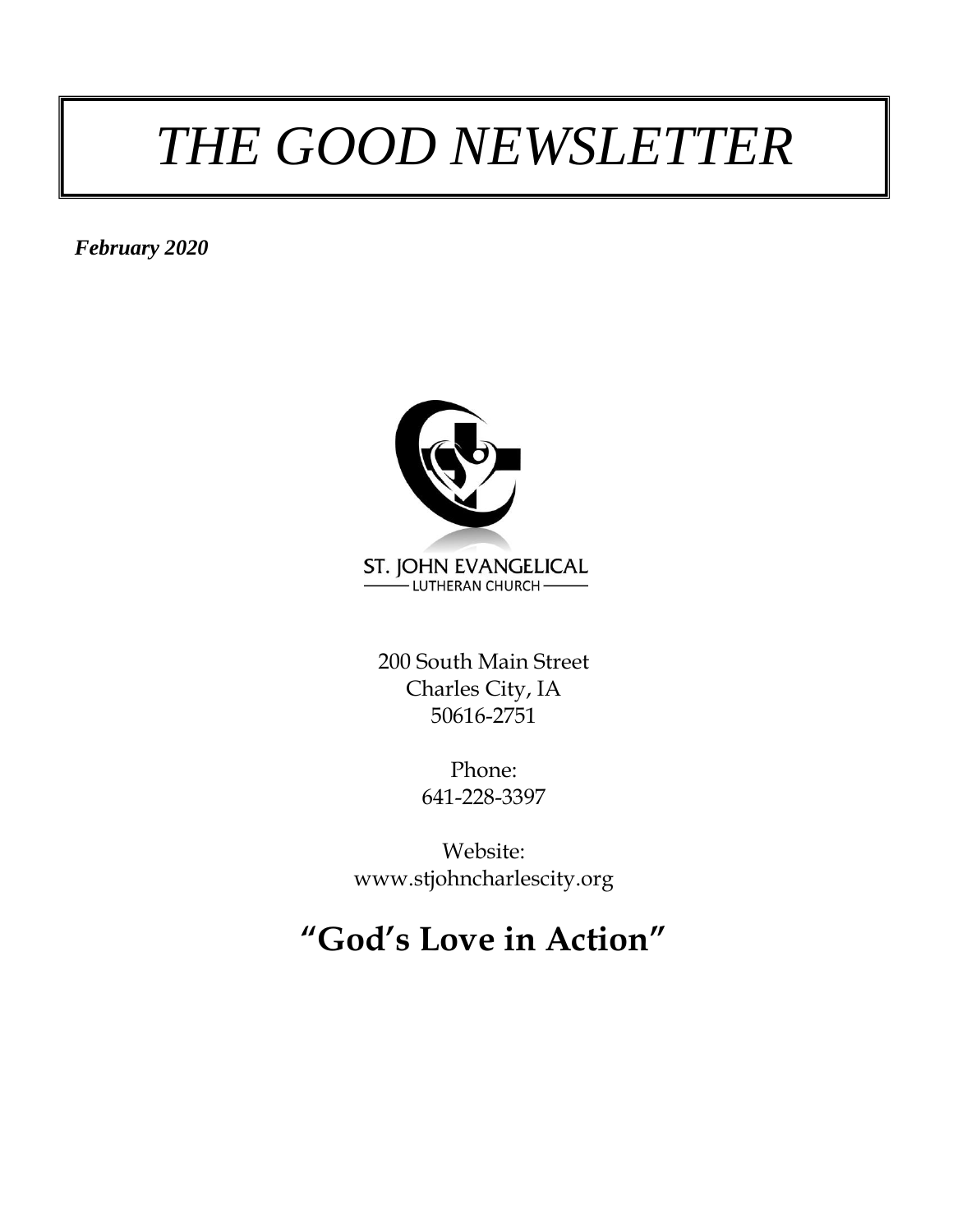# *THE GOOD NEWSLETTER*

*February 2020*



200 South Main Street Charles City, IA 50616-2751

> Phone: 641-228-3397

Website: www.stjohncharlescity.org

# **"God's Love in Action"**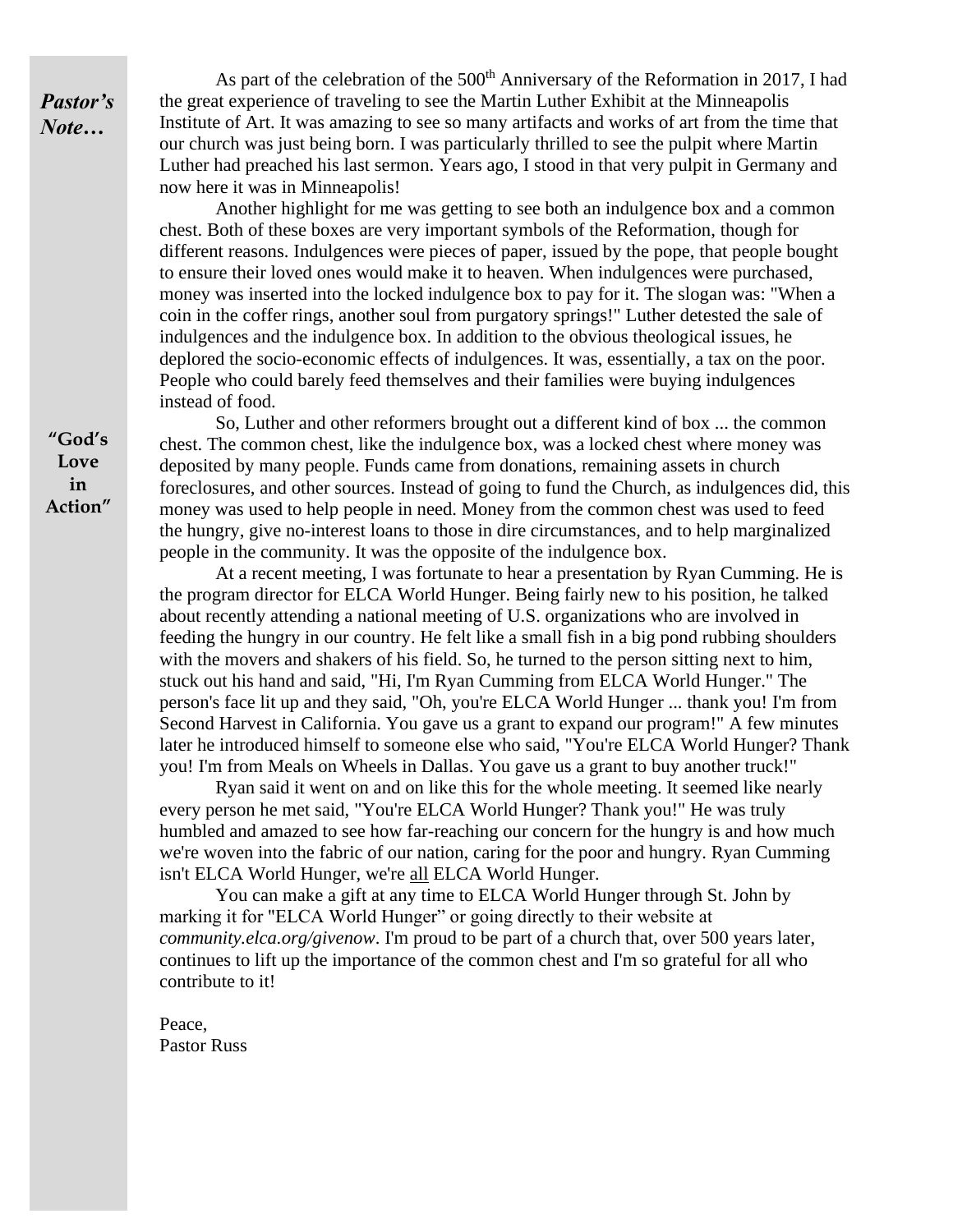*Pastor's Note…*

As part of the celebration of the  $500<sup>th</sup>$  Anniversary of the Reformation in 2017, I had the great experience of traveling to see the Martin Luther Exhibit at the Minneapolis Institute of Art. It was amazing to see so many artifacts and works of art from the time that our church was just being born. I was particularly thrilled to see the pulpit where Martin Luther had preached his last sermon. Years ago, I stood in that very pulpit in Germany and now here it was in Minneapolis!

Another highlight for me was getting to see both an indulgence box and a common chest. Both of these boxes are very important symbols of the Reformation, though for different reasons. Indulgences were pieces of paper, issued by the pope, that people bought to ensure their loved ones would make it to heaven. When indulgences were purchased, money was inserted into the locked indulgence box to pay for it. The slogan was: "When a coin in the coffer rings, another soul from purgatory springs!" Luther detested the sale of indulgences and the indulgence box. In addition to the obvious theological issues, he deplored the socio-economic effects of indulgences. It was, essentially, a tax on the poor. People who could barely feed themselves and their families were buying indulgences instead of food.

So, Luther and other reformers brought out a different kind of box ... the common chest. The common chest, like the indulgence box, was a locked chest where money was deposited by many people. Funds came from donations, remaining assets in church foreclosures, and other sources. Instead of going to fund the Church, as indulgences did, this money was used to help people in need. Money from the common chest was used to feed the hungry, give no-interest loans to those in dire circumstances, and to help marginalized people in the community. It was the opposite of the indulgence box.

At a recent meeting, I was fortunate to hear a presentation by Ryan Cumming. He is the program director for ELCA World Hunger. Being fairly new to his position, he talked about recently attending a national meeting of U.S. organizations who are involved in feeding the hungry in our country. He felt like a small fish in a big pond rubbing shoulders with the movers and shakers of his field. So, he turned to the person sitting next to him, stuck out his hand and said, "Hi, I'm Ryan Cumming from ELCA World Hunger." The person's face lit up and they said, "Oh, you're ELCA World Hunger ... thank you! I'm from Second Harvest in California. You gave us a grant to expand our program!" A few minutes later he introduced himself to someone else who said, "You're ELCA World Hunger? Thank you! I'm from Meals on Wheels in Dallas. You gave us a grant to buy another truck!"

Ryan said it went on and on like this for the whole meeting. It seemed like nearly every person he met said, "You're ELCA World Hunger? Thank you!" He was truly humbled and amazed to see how far-reaching our concern for the hungry is and how much we're woven into the fabric of our nation, caring for the poor and hungry. Ryan Cumming isn't ELCA World Hunger, we're all ELCA World Hunger.

You can make a gift at any time to ELCA World Hunger through St. John by marking it for "ELCA World Hunger" or going directly to their website at *community.elca.org/givenow*. I'm proud to be part of a church that, over 500 years later, continues to lift up the importance of the common chest and I'm so grateful for all who contribute to it!

Peace, Pastor Russ

**"God's Love in Action"**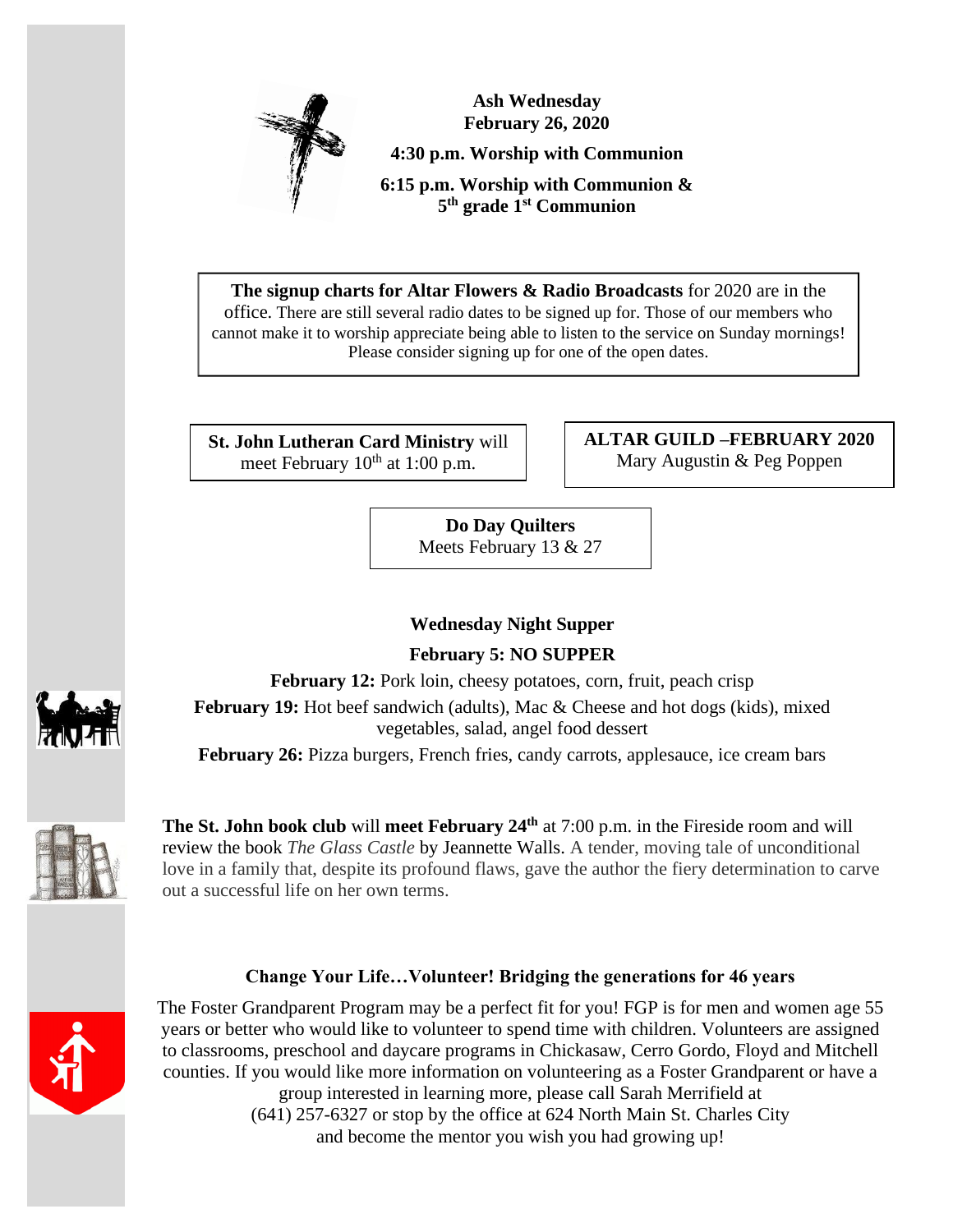

**Ash Wednesday February 26, 2020 4:30 p.m. Worship with Communion 6:15 p.m. Worship with Communion & 5 th grade 1st Communion**

**The signup charts for Altar Flowers & Radio Broadcasts** for 2020 are in the office. There are still several radio dates to be signed up for. Those of our members who cannot make it to worship appreciate being able to listen to the service on Sunday mornings! Please consider signing up for one of the open dates.

**St. John Lutheran Card Ministry** will meet February  $10^{th}$  at 1:00 p.m.

**ALTAR GUILD –FEBRUARY 2020** Mary Augustin & Peg Poppen

**Do Day Quilters** Meets February 13 & 27

# **Wednesday Night Supper**

**February 5: NO SUPPER**

**February 12:** Pork loin, cheesy potatoes, corn, fruit, peach crisp **February 19:** Hot beef sandwich (adults), Mac & Cheese and hot dogs (kids), mixed

vegetables, salad, angel food dessert

**February 26:** Pizza burgers, French fries, candy carrots, applesauce, ice cream bars



**The St. John book club** will **meet February 24 th** at 7:00 p.m. in the Fireside room and will review the book *The Glass Castle* by Jeannette Walls. A tender, moving tale of unconditional love in a family that, despite its profound flaws, gave the author the fiery determination to carve out a successful life on her own terms.

# **Change Your Life…Volunteer! Bridging the generations for 46 years**



The Foster Grandparent Program may be a perfect fit for you! FGP is for men and women age 55 years or better who would like to volunteer to spend time with children. Volunteers are assigned to classrooms, preschool and daycare programs in Chickasaw, Cerro Gordo, Floyd and Mitchell counties. If you would like more information on volunteering as a Foster Grandparent or have a group interested in learning more, please call Sarah Merrifield at (641) 257-6327 or stop by the office at 624 North Main St. Charles City and become the mentor you wish you had growing up!

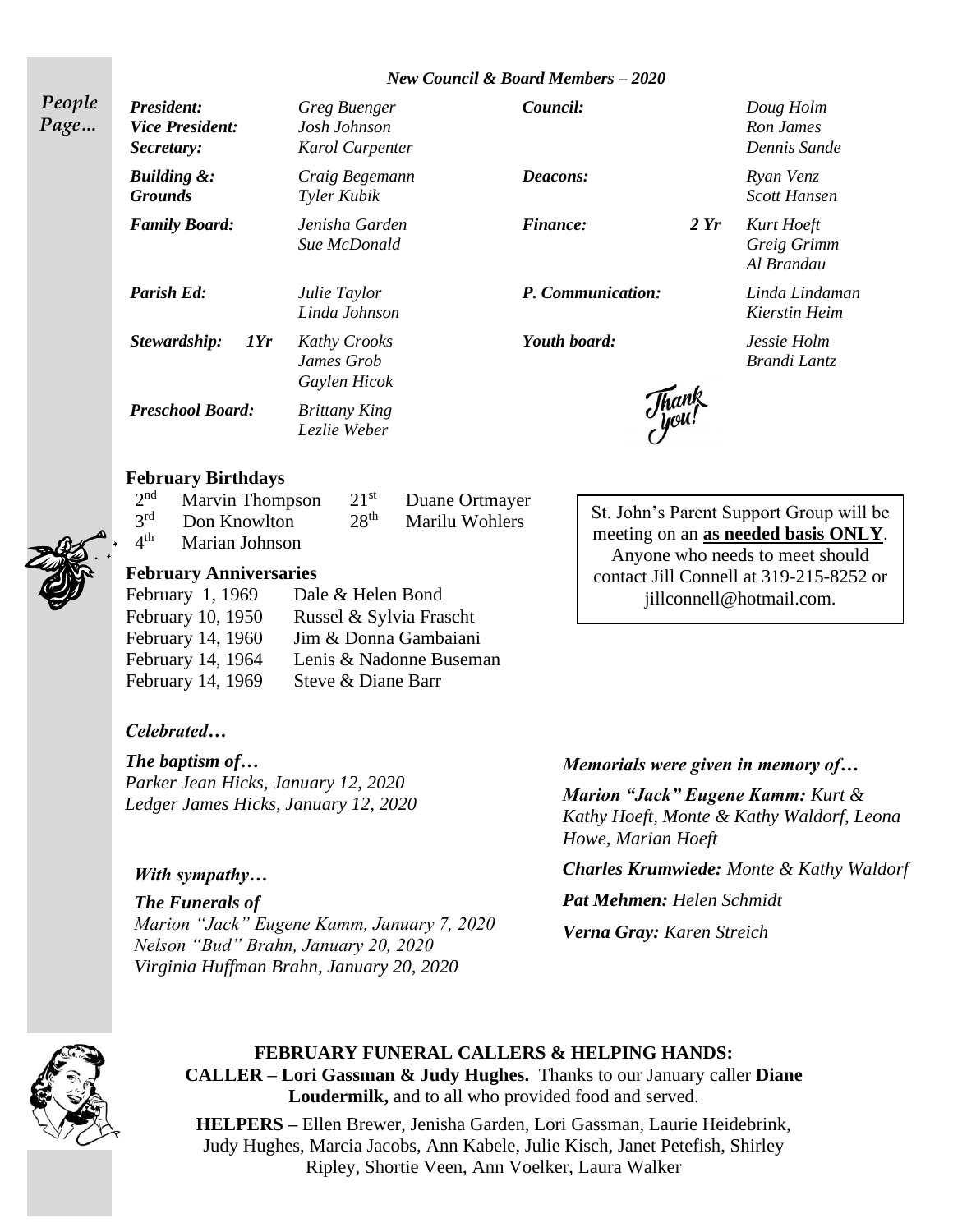#### *New Council & Board Members – 2020*

*People Page…*

*President: Greg Buenger Council: Doug Holm Vice President: Josh Johnson Ron James Secretary: Karol Carpenter Dennis Sande Building &: Craig Begemann Deacons: Ryan Venz Grounds Tyler Kubik Scott Hansen Family Board: Jenisha Garden Finance: 2 Yr Kurt Hoeft Parish Ed: Julie Taylor P. Communication: Linda Lindaman Linda Johnson Kierstin Heim Stewardship: 1Yr Kathy Crooks Youth board: Jessie Holm James Grob Brandi Lantz Gaylen Hicok Preschool Board: Brittany King*

*Sue McDonald Greig Grimm*

*Al Brandau*

#### **February Birthdays**

|                 | $2nd$ Marvin Thompson        |                  | $21st$ Duane Ortmayer |
|-----------------|------------------------------|------------------|-----------------------|
|                 | 3 <sup>rd</sup> Don Knowlton | 28 <sup>th</sup> | Marilu Wohlers        |
| $4^{\text{th}}$ | <b>Marian Johnson</b>        |                  |                       |

*Lezlie Weber*

## **February Anniversaries**

| February 1, 1969  | Dale & Helen Bond       |
|-------------------|-------------------------|
| February 10, 1950 | Russel & Sylvia Frascht |
| February 14, 1960 | Jim & Donna Gambaiani   |
| February 14, 1964 | Lenis & Nadonne Buseman |
| February 14, 1969 | Steve & Diane Barr      |

# *Celebrated…*

*The baptism of… Parker Jean Hicks, January 12, 2020 Ledger James Hicks, January 12, 2020*

#### *With sympathy…*

*The Funerals of Marion "Jack" Eugene Kamm, January 7, 2020 Nelson "Bud" Brahn, January 20, 2020 Virginia Huffman Brahn, January 20, 2020*

meeting on an **as needed basis ONLY**. Anyone who needs to meet should contact Jill Connell at 319-215-8252 or jillconnell@hotmail.com.

St. John's Parent Support Group will be

*Memorials were given in memory of…* 

*Marion "Jack" Eugene Kamm: Kurt & Kathy Hoeft, Monte & Kathy Waldorf, Leona Howe, Marian Hoeft*

*Charles Krumwiede: Monte & Kathy Waldorf*

*Pat Mehmen: Helen Schmidt*

*Verna Gray: Karen Streich* 



# **FEBRUARY FUNERAL CALLERS & HELPING HANDS: CALLER – Lori Gassman & Judy Hughes.** Thanks to our January caller **Diane**

**Loudermilk,** and to all who provided food and served.

**HELPERS –** Ellen Brewer, Jenisha Garden, Lori Gassman, Laurie Heidebrink, Judy Hughes, Marcia Jacobs, Ann Kabele, Julie Kisch, Janet Petefish, Shirley Ripley, Shortie Veen, Ann Voelker, Laura Walker

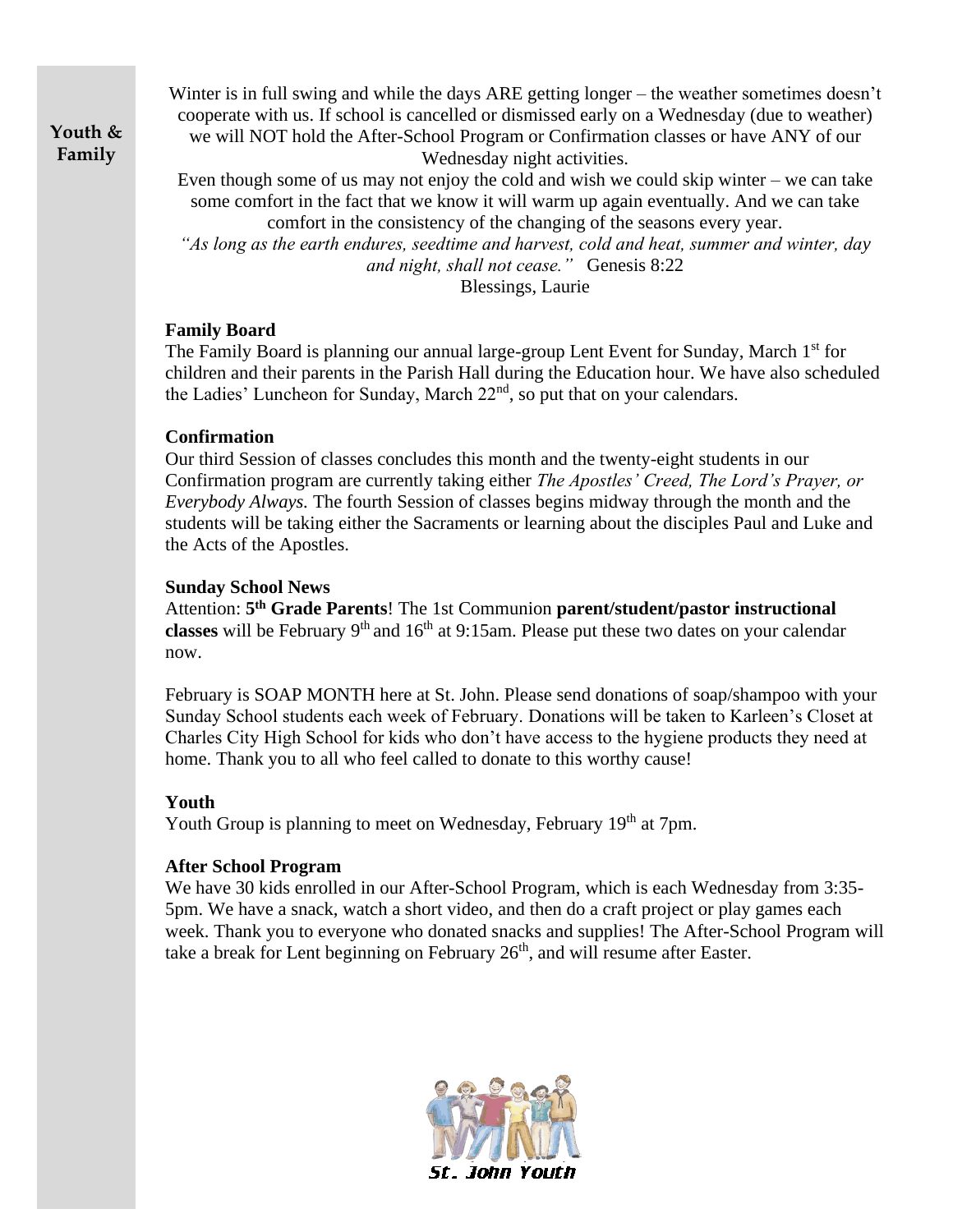**Youth & Family**

Winter is in full swing and while the days ARE getting longer – the weather sometimes doesn't cooperate with us. If school is cancelled or dismissed early on a Wednesday (due to weather) we will NOT hold the After-School Program or Confirmation classes or have ANY of our Wednesday night activities.

Even though some of us may not enjoy the cold and wish we could skip winter – we can take some comfort in the fact that we know it will warm up again eventually. And we can take comfort in the consistency of the changing of the seasons every year.

*"As long as the earth endures, seedtime and harvest, cold and heat, summer and winter, day and night, shall not cease."* Genesis 8:22

Blessings, Laurie

#### **Family Board**

The Family Board is planning our annual large-group Lent Event for Sunday, March 1<sup>st</sup> for children and their parents in the Parish Hall during the Education hour. We have also scheduled the Ladies' Luncheon for Sunday, March 22<sup>nd</sup>, so put that on your calendars.

## **Confirmation**

Our third Session of classes concludes this month and the twenty-eight students in our Confirmation program are currently taking either *The Apostles' Creed, The Lord's Prayer, or Everybody Always.* The fourth Session of classes begins midway through the month and the students will be taking either the Sacraments or learning about the disciples Paul and Luke and the Acts of the Apostles.

## **Sunday School News**

Attention: **5 th Grade Parents**! The 1st Communion **parent/student/pastor instructional classes** will be February  $9<sup>th</sup>$  and  $16<sup>th</sup>$  at 9:15am. Please put these two dates on your calendar now.

February is SOAP MONTH here at St. John. Please send donations of soap/shampoo with your Sunday School students each week of February. Donations will be taken to Karleen's Closet at Charles City High School for kids who don't have access to the hygiene products they need at home. Thank you to all who feel called to donate to this worthy cause!

#### **Youth**

Youth Group is planning to meet on Wednesday, February 19<sup>th</sup> at 7pm.

# **After School Program**

We have 30 kids enrolled in our After-School Program, which is each Wednesday from 3:35-5pm. We have a snack, watch a short video, and then do a craft project or play games each week. Thank you to everyone who donated snacks and supplies! The After-School Program will take a break for Lent beginning on February  $26<sup>th</sup>$ , and will resume after Easter.

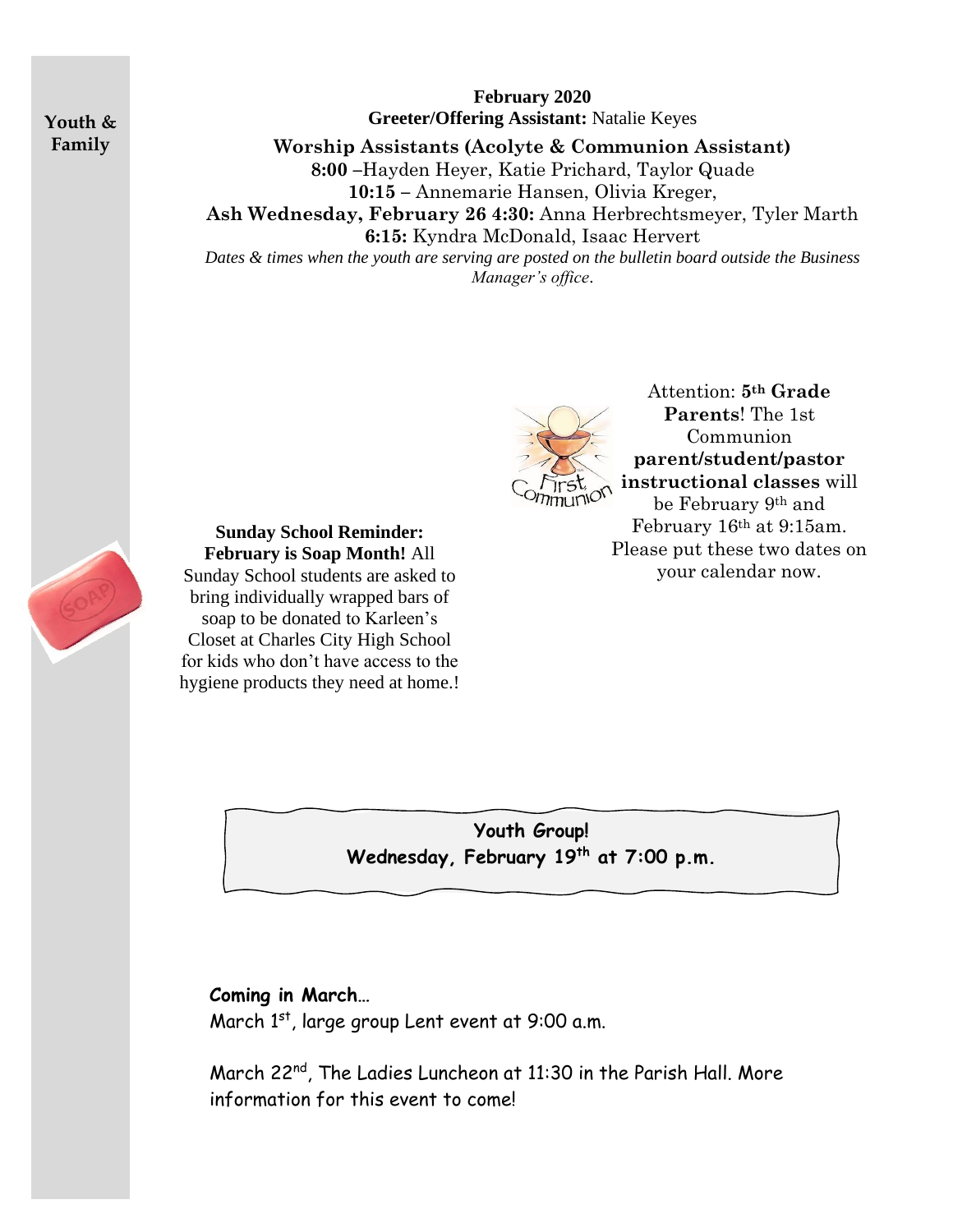**Youth & Family**

**February 2020 Greeter/Offering Assistant:** Natalie Keyes

**Worship Assistants (Acolyte & Communion Assistant) 8:00 –**Hayden Heyer, Katie Prichard, Taylor Quade **10:15 –** Annemarie Hansen, Olivia Kreger, **Ash Wednesday, February 26 4:30:** Anna Herbrechtsmeyer, Tyler Marth **6:15:** Kyndra McDonald, Isaac Hervert *Dates & times when the youth are serving are posted on the bulletin board outside the Business Manager's office*.



Attention: **5th Grade Parents**! The 1st Communion **parent/student/pastor instructional classes** will be February 9th and February 16th at 9:15am. Please put these two dates on your calendar now.

**Sunday School Reminder: February is Soap Month!** All Sunday School students are asked to bring individually wrapped bars of soap to be donated to Karleen's Closet at Charles City High School for kids who don't have access to the hygiene products they need at home.!

> **Youth Group! Wednesday, February 19th at 7:00 p.m.**

# **Coming in March…**

March 1<sup>st</sup>, large group Lent event at 9:00 a.m.

March 22<sup>nd</sup>, The Ladies Luncheon at 11:30 in the Parish Hall. More information for this event to come!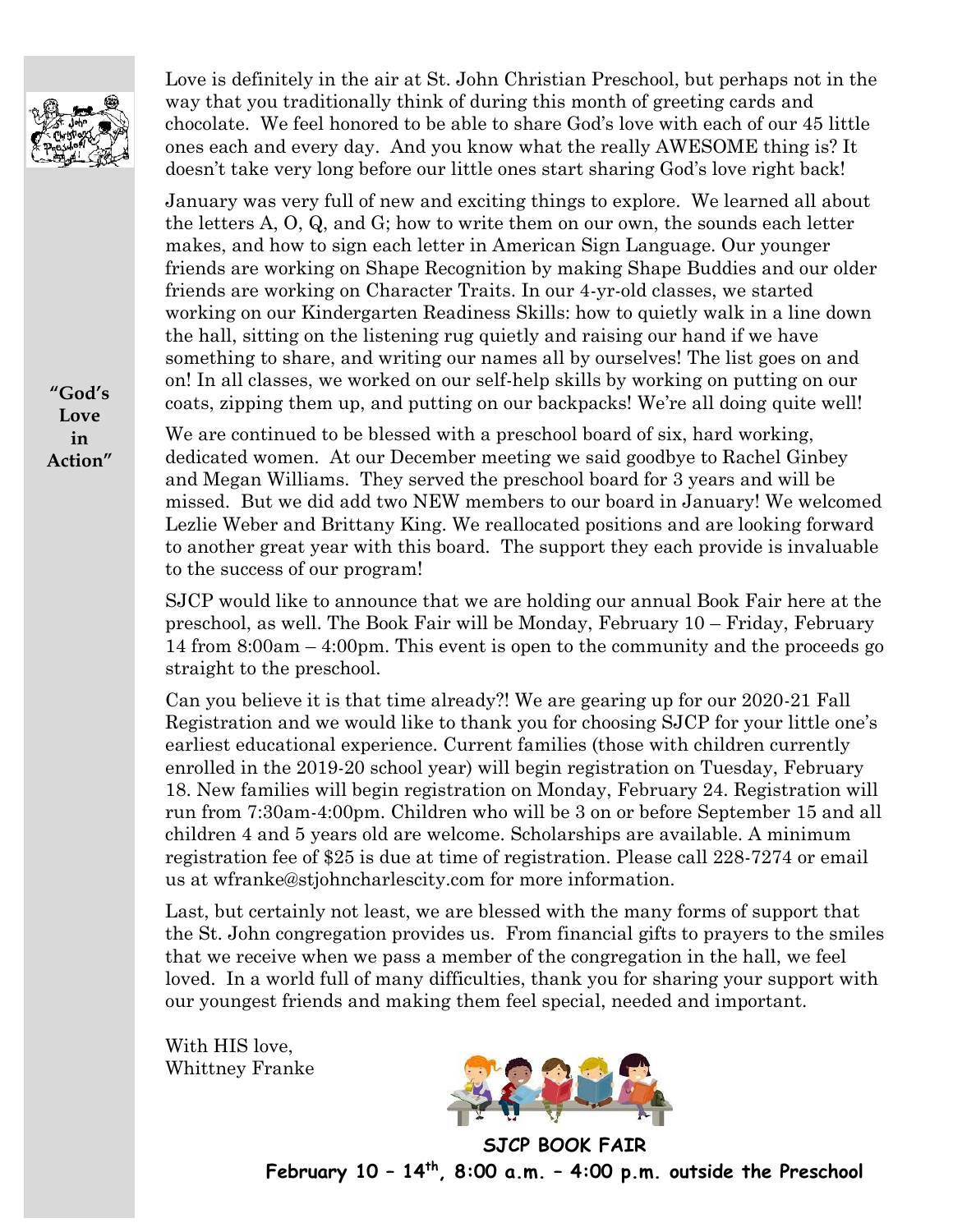

Love is definitely in the air at St. John Christian Preschool, but perhaps not in the way that you traditionally think of during this month of greeting cards and chocolate. We feel honored to be able to share God's love with each of our 45 little ones each and every day. And you know what the really AWESOME thing is? It doesn't take very long before our little ones start sharing God's love right back!

January was very full of new and exciting things to explore. We learned all about the letters A, O, Q, and G; how to write them on our own, the sounds each letter makes, and how to sign each letter in American Sign Language. Our younger friends are working on Shape Recognition by making Shape Buddies and our older friends are working on Character Traits. In our 4-yr-old classes, we started working on our Kindergarten Readiness Skills: how to quietly walk in a line down the hall, sitting on the listening rug quietly and raising our hand if we have something to share, and writing our names all by ourselves! The list goes on and on! In all classes, we worked on our self-help skills by working on putting on our coats, zipping them up, and putting on our backpacks! We're all doing quite well!

We are continued to be blessed with a preschool board of six, hard working, dedicated women. At our December meeting we said goodbye to Rachel Ginbey and Megan Williams. They served the preschool board for 3 years and will be missed. But we did add two NEW members to our board in January! We welcomed Lezlie Weber and Brittany King. We reallocated positions and are looking forward to another great year with this board. The support they each provide is invaluable to the success of our program!

SJCP would like to announce that we are holding our annual Book Fair here at the preschool, as well. The Book Fair will be Monday, February 10 – Friday, February 14 from 8:00am – 4:00pm. This event is open to the community and the proceeds go straight to the preschool.

Can you believe it is that time already?! We are gearing up for our 2020-21 Fall Registration and we would like to thank you for choosing SJCP for your little one's earliest educational experience. Current families (those with children currently enrolled in the 2019-20 school year) will begin registration on Tuesday, February 18. New families will begin registration on Monday, February 24. Registration will run from 7:30am-4:00pm. Children who will be 3 on or before September 15 and all children 4 and 5 years old are welcome. Scholarships are available. A minimum registration fee of \$25 is due at time of registration. Please call 228-7274 or email us at wfranke@stjohncharlescity.com for more information.

Last, but certainly not least, we are blessed with the many forms of support that the St. John congregation provides us. From financial gifts to prayers to the smiles that we receive when we pass a member of the congregation in the hall, we feel loved. In a world full of many difficulties, thank you for sharing your support with our youngest friends and making them feel special, needed and important.

With HIS love, Whittney Franke



**SJCP BOOK FAIR February 10 – 14th, 8:00 a.m. – 4:00 p.m. outside the Preschool**

**"God's Love in Action"**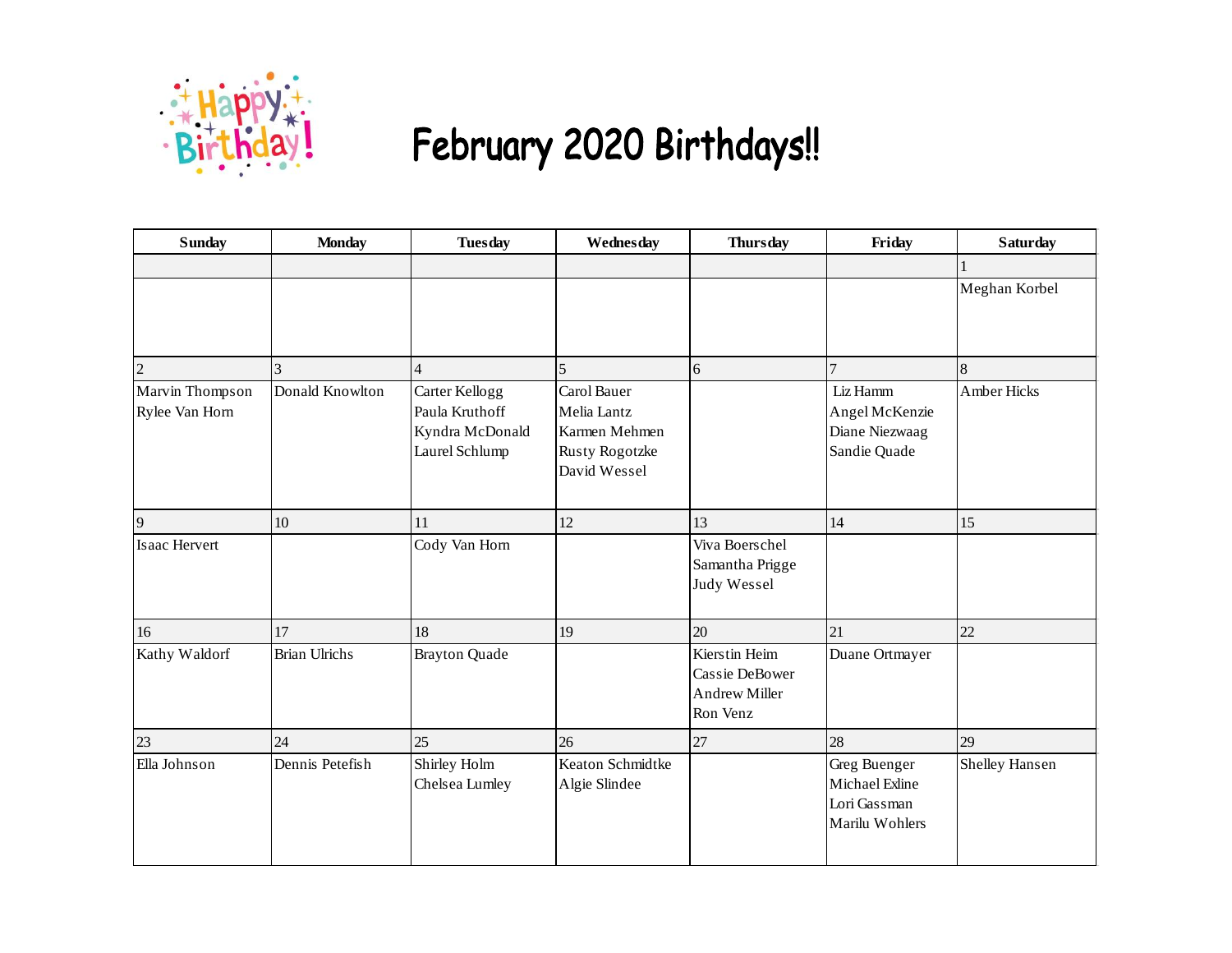

# February 2020 Birthdays!!

| <b>Sunday</b>                     | <b>Monday</b>        | <b>Tuesday</b>                                                        | Wednesday                                                                     | <b>Thursday</b>                                                     | Friday                                                           | <b>Saturday</b> |
|-----------------------------------|----------------------|-----------------------------------------------------------------------|-------------------------------------------------------------------------------|---------------------------------------------------------------------|------------------------------------------------------------------|-----------------|
|                                   |                      |                                                                       |                                                                               |                                                                     |                                                                  |                 |
|                                   |                      |                                                                       |                                                                               |                                                                     |                                                                  | Meghan Korbel   |
| $\overline{2}$                    | 3                    | $\overline{4}$                                                        | 5                                                                             | 6                                                                   | $\overline{7}$                                                   | 8               |
| Marvin Thompson<br>Rylee Van Horn | Donald Knowlton      | Carter Kellogg<br>Paula Kruthoff<br>Kyndra McDonald<br>Laurel Schlump | Carol Bauer<br>Melia Lantz<br>Karmen Mehmen<br>Rusty Rogotzke<br>David Wessel |                                                                     | Liz Hamm<br>Angel McKenzie<br>Diane Niezwaag<br>Sandie Quade     | Amber Hicks     |
| 9                                 | 10                   | 11                                                                    | 12                                                                            | 13                                                                  | 14                                                               | 15              |
| Isaac Hervert                     |                      | Cody Van Horn                                                         |                                                                               | Viva Boerschel<br>Samantha Prigge<br>Judy Wessel                    |                                                                  |                 |
| 16                                | 17                   | 18                                                                    | 19                                                                            | 20                                                                  | 21                                                               | 22              |
| Kathy Waldorf                     | <b>Brian Ulrichs</b> | <b>Brayton Quade</b>                                                  |                                                                               | Kierstin Heim<br>Cassie DeBower<br><b>Andrew Miller</b><br>Ron Venz | Duane Ortmayer                                                   |                 |
| 23                                | 24                   | 25                                                                    | 26                                                                            | 27                                                                  | 28                                                               | 29              |
| Ella Johnson                      | Dennis Petefish      | Shirley Holm<br>Chelsea Lumley                                        | Keaton Schmidtke<br>Algie Slindee                                             |                                                                     | Greg Buenger<br>Michael Exline<br>Lori Gassman<br>Marilu Wohlers | Shelley Hansen  |